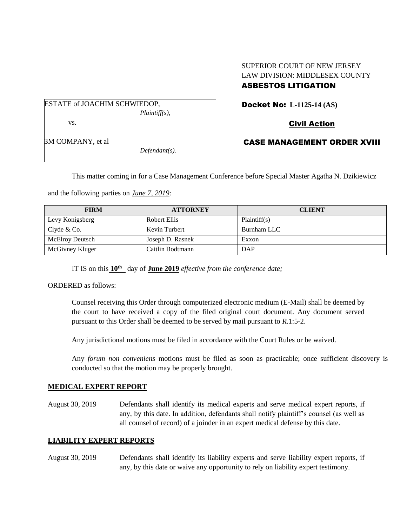## SUPERIOR COURT OF NEW JERSEY LAW DIVISION: MIDDLESEX COUNTY ASBESTOS LITIGATION

ESTATE of JOACHIM SCHWIEDOP, *Plaintiff(s),*

vs.

3M COMPANY, et al

*Defendant(s).*

# Docket No: **L-1125-14 (AS)**

# Civil Action

# CASE MANAGEMENT ORDER XVIII

This matter coming in for a Case Management Conference before Special Master Agatha N. Dzikiewicz

and the following parties on *June 7, 2019*:

| <b>FIRM</b>            | <b>ATTORNEY</b>  | <b>CLIENT</b> |
|------------------------|------------------|---------------|
| Levy Konigsberg        | Robert Ellis     | Plaintiff(s)  |
| Clyde & Co.            | Kevin Turbert    | Burnham LLC   |
| <b>McElroy Deutsch</b> | Joseph D. Rasnek | Exxon         |
| McGivney Kluger        | Caitlin Bodtmann | DAP           |

IT IS on this **10th** day of **June 2019** *effective from the conference date;*

ORDERED as follows:

Counsel receiving this Order through computerized electronic medium (E-Mail) shall be deemed by the court to have received a copy of the filed original court document. Any document served pursuant to this Order shall be deemed to be served by mail pursuant to *R*.1:5-2.

Any jurisdictional motions must be filed in accordance with the Court Rules or be waived.

Any *forum non conveniens* motions must be filed as soon as practicable; once sufficient discovery is conducted so that the motion may be properly brought.

#### **MEDICAL EXPERT REPORT**

August 30, 2019 Defendants shall identify its medical experts and serve medical expert reports, if any, by this date. In addition, defendants shall notify plaintiff's counsel (as well as all counsel of record) of a joinder in an expert medical defense by this date.

## **LIABILITY EXPERT REPORTS**

August 30, 2019 Defendants shall identify its liability experts and serve liability expert reports, if any, by this date or waive any opportunity to rely on liability expert testimony.